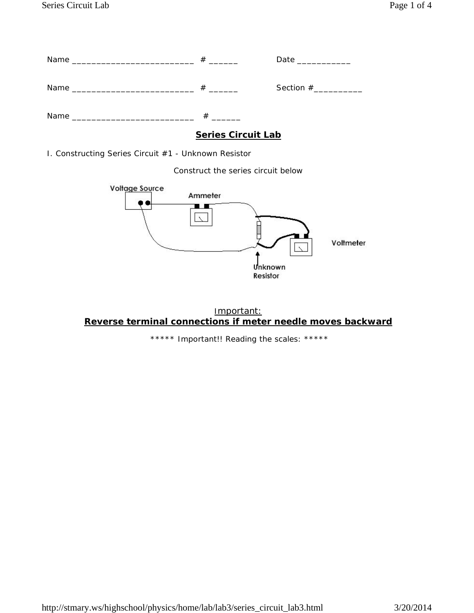|      | # | Date ___________       |
|------|---|------------------------|
|      | # | Section $#$ __________ |
| Name |   |                        |

## **Series Circuit Lab**

I. Constructing Series Circuit #1 - Unknown Resistor

Construct the series circuit below





\*\*\*\*\* Important!! Reading the scales: \*\*\*\*\*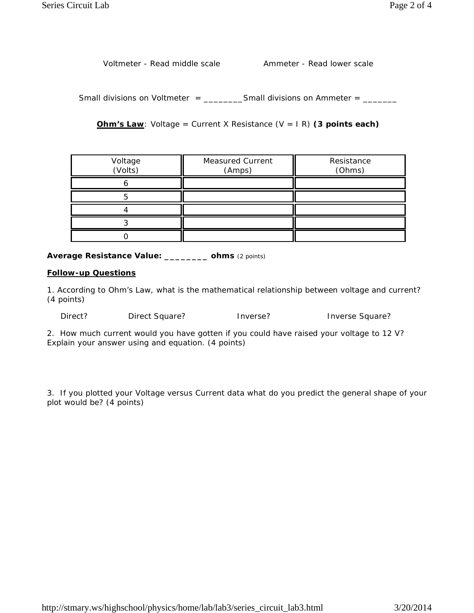Voltmeter - Read middle scale Ammeter - Read lower scale

Small divisions on Voltmeter =  $\frac{1}{2}$  Small divisions on Ammeter =  $\frac{1}{2}$ 

**Ohm's Law**: Voltage = Current X Resistance (V = I R) **(3 points each)**

| Voltage<br>(Volts) | <b>Measured Current</b><br>(Amps) | Resistance<br>(Ohms) |
|--------------------|-----------------------------------|----------------------|
|                    |                                   |                      |
|                    |                                   |                      |
|                    |                                   |                      |
|                    |                                   |                      |
|                    |                                   |                      |

**Average Resistance Value: \_\_\_\_\_\_\_\_ ohms** (2 points)

#### **Follow-up Questions**

1. According to Ohm's Law, what is the mathematical relationship between voltage and current? (4 points)

Direct? Direct Square? Inverse? Inverse Square?

2. How much current would you have gotten if you could have raised your voltage to 12 V? Explain your answer using and equation. (4 points)

3. If you plotted your Voltage versus Current data what do you predict the general shape of your plot would be? (4 points)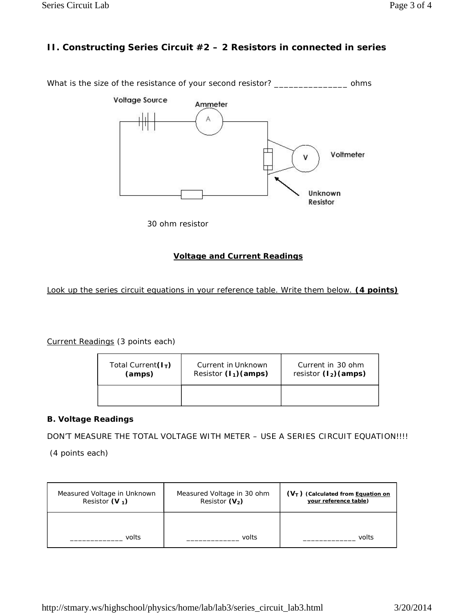# **II. Constructing Series Circuit #2 – 2 Resistors in connected in series**

What is the size of the resistance of your second resistor? \_\_\_\_\_\_\_\_\_\_\_\_\_\_\_\_\_\_\_ ohms



30 ohm resistor

#### **Voltage and Current Readings**

Look up the series circuit equations in your reference table. Write them below. **(4 points)**

Current Readings (3 points each)

| Total Current $(I_T)$ | Current in Unknown      | Current in 30 ohm       |
|-----------------------|-------------------------|-------------------------|
| (amps)                | Resistor $(l_1)$ (amps) | resistor $(l_2)$ (amps) |
|                       |                         |                         |

### **B. Voltage Readings**

DON'T MEASURE THE TOTAL VOLTAGE WITH METER – USE A SERIES CIRCUIT EQUATION!!!!

(4 points each)

| Measured Voltage in Unknown | Measured Voltage in 30 ohm | $(VT)$ (Calculated from Equation on |
|-----------------------------|----------------------------|-------------------------------------|
| Resistor $(V_1)$            | Resistor $(V_2)$           | your reference table)               |
| volts                       | volts                      | volts                               |